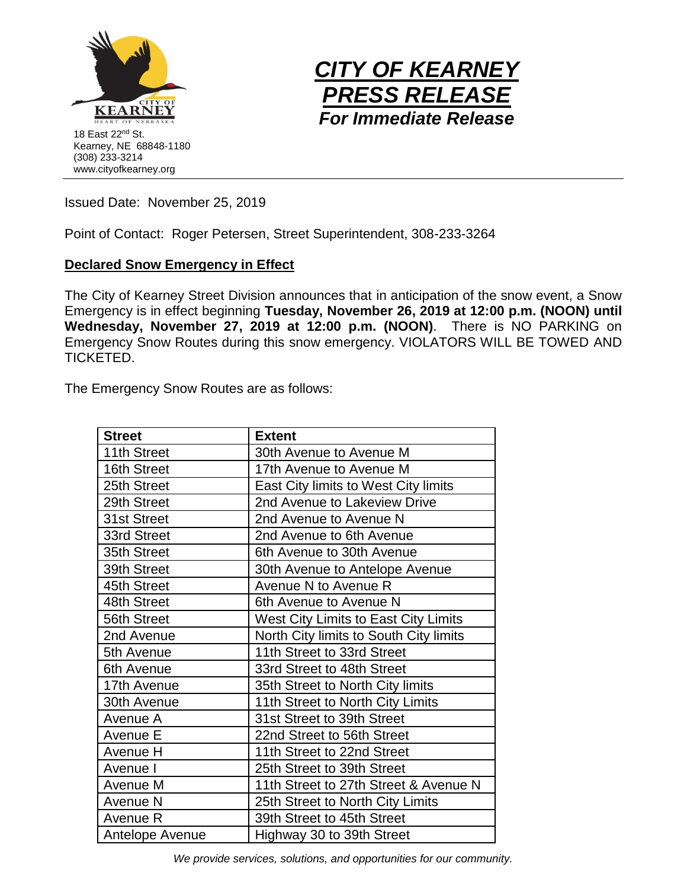



Issued Date: November 25, 2019

Point of Contact: Roger Petersen, Street Superintendent, 308-233-3264

## **Declared Snow Emergency in Effect**

The City of Kearney Street Division announces that in anticipation of the snow event, a Snow Emergency is in effect beginning **Tuesday, November 26, 2019 at 12:00 p.m. (NOON) until Wednesday, November 27, 2019 at 12:00 p.m. (NOON)**. There is NO PARKING on Emergency Snow Routes during this snow emergency. VIOLATORS WILL BE TOWED AND TICKETED.

The Emergency Snow Routes are as follows:

| <b>Street</b>   | <b>Extent</b>                          |
|-----------------|----------------------------------------|
| 11th Street     | 30th Avenue to Avenue M                |
| 16th Street     | 17th Avenue to Avenue M                |
| 25th Street     | East City limits to West City limits   |
| 29th Street     | 2nd Avenue to Lakeview Drive           |
| 31st Street     | 2nd Avenue to Avenue N                 |
| 33rd Street     | 2nd Avenue to 6th Avenue               |
| 35th Street     | 6th Avenue to 30th Avenue              |
| 39th Street     | 30th Avenue to Antelope Avenue         |
| 45th Street     | Avenue N to Avenue R                   |
| 48th Street     | 6th Avenue to Avenue N                 |
| 56th Street     | West City Limits to East City Limits   |
| 2nd Avenue      | North City limits to South City limits |
| 5th Avenue      | 11th Street to 33rd Street             |
| 6th Avenue      | 33rd Street to 48th Street             |
| 17th Avenue     | 35th Street to North City limits       |
| 30th Avenue     | 11th Street to North City Limits       |
| Avenue A        | 31st Street to 39th Street             |
| Avenue E        | 22nd Street to 56th Street             |
| Avenue H        | 11th Street to 22nd Street             |
| Avenue I        | 25th Street to 39th Street             |
| Avenue M        | 11th Street to 27th Street & Avenue N  |
| Avenue N        | 25th Street to North City Limits       |
| Avenue R        | 39th Street to 45th Street             |
| Antelope Avenue | Highway 30 to 39th Street              |

*We provide services, solutions, and opportunities for our community.*